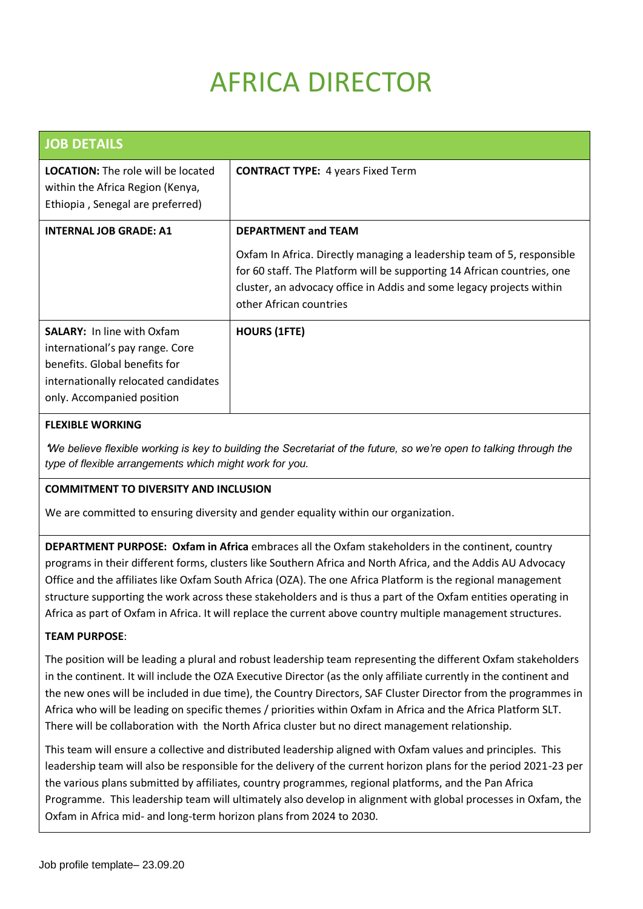# AFRICA DIRECTOR

| <b>JOB DETAILS</b>                                                                                                                                                          |                                                                                                                                                                                                                                                                                    |
|-----------------------------------------------------------------------------------------------------------------------------------------------------------------------------|------------------------------------------------------------------------------------------------------------------------------------------------------------------------------------------------------------------------------------------------------------------------------------|
| <b>LOCATION:</b> The role will be located<br>within the Africa Region (Kenya,<br>Ethiopia, Senegal are preferred)                                                           | <b>CONTRACT TYPE: 4 years Fixed Term</b>                                                                                                                                                                                                                                           |
| <b>INTERNAL JOB GRADE: A1</b>                                                                                                                                               | <b>DEPARTMENT and TEAM</b><br>Oxfam In Africa. Directly managing a leadership team of 5, responsible<br>for 60 staff. The Platform will be supporting 14 African countries, one<br>cluster, an advocacy office in Addis and some legacy projects within<br>other African countries |
| <b>SALARY:</b> In line with Oxfam<br>international's pay range. Core<br>benefits. Global benefits for<br>internationally relocated candidates<br>only. Accompanied position | <b>HOURS (1FTE)</b>                                                                                                                                                                                                                                                                |

## **FLEXIBLE WORKING**

'*We believe flexible working is key to building the Secretariat of the future, so we're open to talking through the type of flexible arrangements which might work for you.* 

## **COMMITMENT TO DIVERSITY AND INCLUSION**

We are committed to ensuring diversity and gender equality within our organization.

**DEPARTMENT PURPOSE: Oxfam in Africa** embraces all the Oxfam stakeholders in the continent, country programs in their different forms, clusters like Southern Africa and North Africa, and the Addis AU Advocacy Office and the affiliates like Oxfam South Africa (OZA). The one Africa Platform is the regional management structure supporting the work across these stakeholders and is thus a part of the Oxfam entities operating in Africa as part of Oxfam in Africa. It will replace the current above country multiple management structures.

## **TEAM PURPOSE**:

The position will be leading a plural and robust leadership team representing the different Oxfam stakeholders in the continent. It will include the OZA Executive Director (as the only affiliate currently in the continent and the new ones will be included in due time), the Country Directors, SAF Cluster Director from the programmes in Africa who will be leading on specific themes / priorities within Oxfam in Africa and the Africa Platform SLT. There will be collaboration with the North Africa cluster but no direct management relationship.

This team will ensure a collective and distributed leadership aligned with Oxfam values and principles. This leadership team will also be responsible for the delivery of the current horizon plans for the period 2021-23 per the various plans submitted by affiliates, country programmes, regional platforms, and the Pan Africa Programme. This leadership team will ultimately also develop in alignment with global processes in Oxfam, the Oxfam in Africa mid- and long-term horizon plans from 2024 to 2030.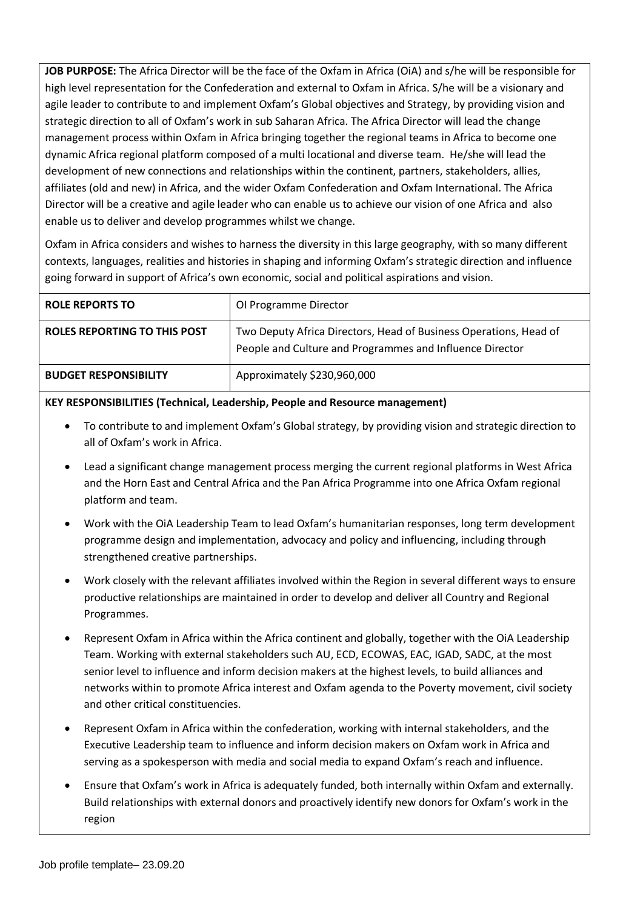**JOB PURPOSE:** The Africa Director will be the face of the Oxfam in Africa (OiA) and s/he will be responsible for high level representation for the Confederation and external to Oxfam in Africa. S/he will be a visionary and agile leader to contribute to and implement Oxfam's Global objectives and Strategy, by providing vision and strategic direction to all of Oxfam's work in sub Saharan Africa. The Africa Director will lead the change management process within Oxfam in Africa bringing together the regional teams in Africa to become one dynamic Africa regional platform composed of a multi locational and diverse team. He/she will lead the development of new connections and relationships within the continent, partners, stakeholders, allies, affiliates (old and new) in Africa, and the wider Oxfam Confederation and Oxfam International. The Africa Director will be a creative and agile leader who can enable us to achieve our vision of one Africa and also enable us to deliver and develop programmes whilst we change.

Oxfam in Africa considers and wishes to harness the diversity in this large geography, with so many different contexts, languages, realities and histories in shaping and informing Oxfam's strategic direction and influence going forward in support of Africa's own economic, social and political aspirations and vision.

| <b>ROLE REPORTS TO</b>       | OI Programme Director                                                                                                         |
|------------------------------|-------------------------------------------------------------------------------------------------------------------------------|
| ROLES REPORTING TO THIS POST | Two Deputy Africa Directors, Head of Business Operations, Head of<br>People and Culture and Programmes and Influence Director |
| <b>BUDGET RESPONSIBILITY</b> | Approximately \$230,960,000                                                                                                   |

## **KEY RESPONSIBILITIES (Technical, Leadership, People and Resource management)**

- To contribute to and implement Oxfam's Global strategy, by providing vision and strategic direction to all of Oxfam's work in Africa.
- Lead a significant change management process merging the current regional platforms in West Africa and the Horn East and Central Africa and the Pan Africa Programme into one Africa Oxfam regional platform and team.
- Work with the OiA Leadership Team to lead Oxfam's humanitarian responses, long term development programme design and implementation, advocacy and policy and influencing, including through strengthened creative partnerships.
- Work closely with the relevant affiliates involved within the Region in several different ways to ensure productive relationships are maintained in order to develop and deliver all Country and Regional Programmes.
- Represent Oxfam in Africa within the Africa continent and globally, together with the OiA Leadership Team. Working with external stakeholders such AU, ECD, ECOWAS, EAC, IGAD, SADC, at the most senior level to influence and inform decision makers at the highest levels, to build alliances and networks within to promote Africa interest and Oxfam agenda to the Poverty movement, civil society and other critical constituencies.
- Represent Oxfam in Africa within the confederation, working with internal stakeholders, and the Executive Leadership team to influence and inform decision makers on Oxfam work in Africa and serving as a spokesperson with media and social media to expand Oxfam's reach and influence.
- Ensure that Oxfam's work in Africa is adequately funded, both internally within Oxfam and externally. Build relationships with external donors and proactively identify new donors for Oxfam's work in the region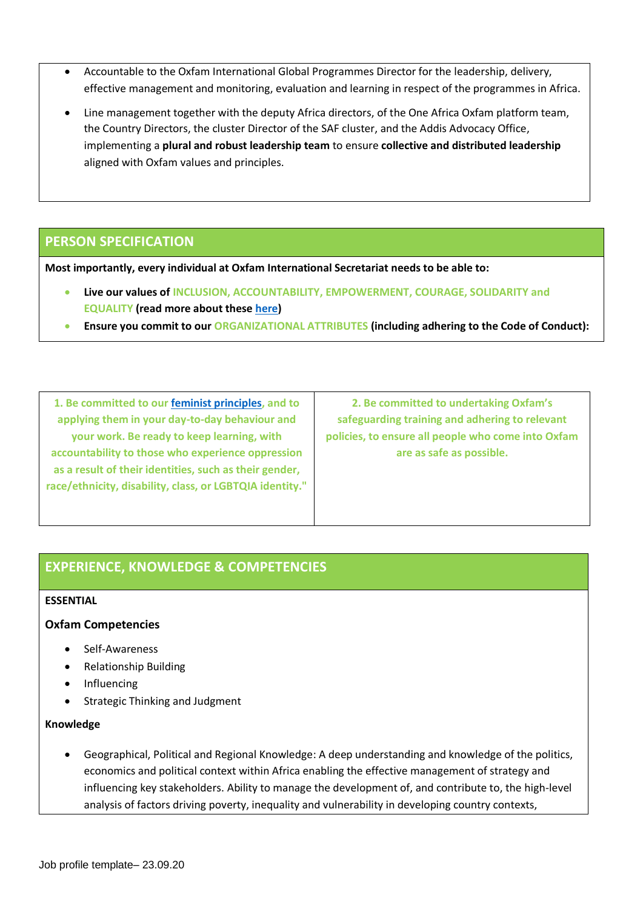- Accountable to the Oxfam International Global Programmes Director for the leadership, delivery, effective management and monitoring, evaluation and learning in respect of the programmes in Africa.
- Line management together with the deputy Africa directors, of the One Africa Oxfam platform team, the Country Directors, the cluster Director of the SAF cluster, and the Addis Advocacy Office, implementing a **plural and robust leadership team** to ensure **collective and distributed leadership** aligned with Oxfam values and principles.

# **PERSON SPECIFICATION**

**Most importantly, every individual at Oxfam International Secretariat needs to be able to:**

- **Live our values of INCLUSION, ACCOUNTABILITY, EMPOWERMENT, COURAGE, SOLIDARITY and EQUALITY (read more about these [here\)](https://oxfam.box.com/s/yfy4iyac8ulvoc01rkdg51awssv7ie1x)**
- **Ensure you commit to our ORGANIZATIONAL ATTRIBUTES (including adhering to the Code of Conduct):**

**1. Be committed to our [feminist principles,](https://redseaexecutivesearch.app.box.com/file/932369504881) and to applying them in your day-to-day behaviour and your work. Be ready to keep learning, with accountability to those who experience oppression as a result of their identities, such as their gender, race/ethnicity, disability, class, or LGBTQIA identity."**

**2. Be committed to undertaking Oxfam's safeguarding training and adhering to relevant policies, to ensure all people who come into Oxfam are as safe as possible.**

# **EXPERIENCE, KNOWLEDGE & COMPETENCIES**

#### **ESSENTIAL**

## **Oxfam Competencies**

- Self-Awareness
- Relationship Building
- **Influencing**
- Strategic Thinking and Judgment

#### **Knowledge**

• Geographical, Political and Regional Knowledge: A deep understanding and knowledge of the politics, economics and political context within Africa enabling the effective management of strategy and influencing key stakeholders. Ability to manage the development of, and contribute to, the high-level analysis of factors driving poverty, inequality and vulnerability in developing country contexts,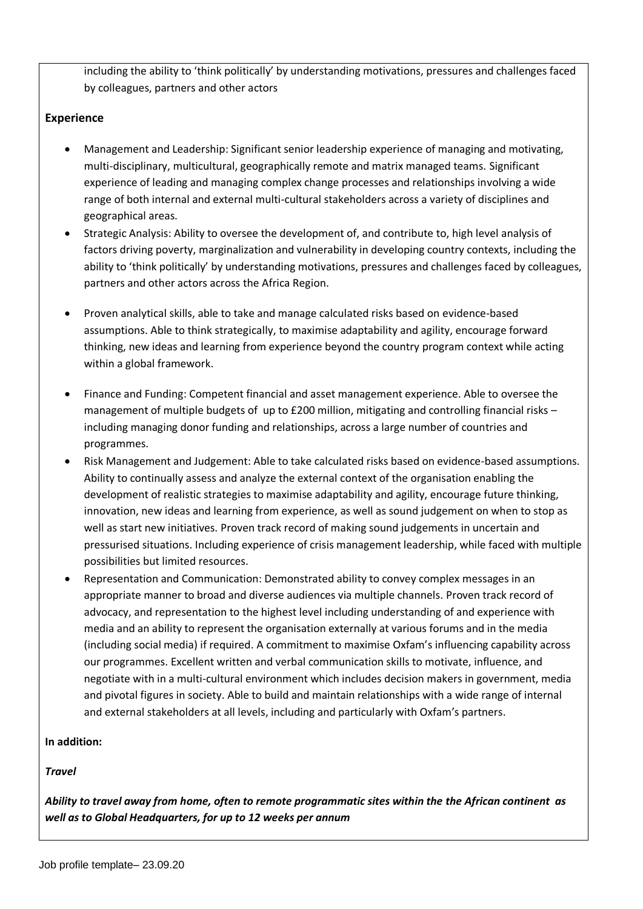including the ability to 'think politically' by understanding motivations, pressures and challenges faced by colleagues, partners and other actors

# **Experience**

- Management and Leadership: Significant senior leadership experience of managing and motivating, multi-disciplinary, multicultural, geographically remote and matrix managed teams. Significant experience of leading and managing complex change processes and relationships involving a wide range of both internal and external multi-cultural stakeholders across a variety of disciplines and geographical areas.
- Strategic Analysis: Ability to oversee the development of, and contribute to, high level analysis of factors driving poverty, marginalization and vulnerability in developing country contexts, including the ability to 'think politically' by understanding motivations, pressures and challenges faced by colleagues, partners and other actors across the Africa Region.
- Proven analytical skills, able to take and manage calculated risks based on evidence-based assumptions. Able to think strategically, to maximise adaptability and agility, encourage forward thinking, new ideas and learning from experience beyond the country program context while acting within a global framework.
- Finance and Funding: Competent financial and asset management experience. Able to oversee the management of multiple budgets of up to £200 million, mitigating and controlling financial risks – including managing donor funding and relationships, across a large number of countries and programmes.
- Risk Management and Judgement: Able to take calculated risks based on evidence-based assumptions. Ability to continually assess and analyze the external context of the organisation enabling the development of realistic strategies to maximise adaptability and agility, encourage future thinking, innovation, new ideas and learning from experience, as well as sound judgement on when to stop as well as start new initiatives. Proven track record of making sound judgements in uncertain and pressurised situations. Including experience of crisis management leadership, while faced with multiple possibilities but limited resources.
- Representation and Communication: Demonstrated ability to convey complex messages in an appropriate manner to broad and diverse audiences via multiple channels. Proven track record of advocacy, and representation to the highest level including understanding of and experience with media and an ability to represent the organisation externally at various forums and in the media (including social media) if required. A commitment to maximise Oxfam's influencing capability across our programmes. Excellent written and verbal communication skills to motivate, influence, and negotiate with in a multi-cultural environment which includes decision makers in government, media and pivotal figures in society. Able to build and maintain relationships with a wide range of internal and external stakeholders at all levels, including and particularly with Oxfam's partners.

## **In addition:**

## *Travel*

*Ability to travel away from home, often to remote programmatic sites within the the African continent as well as to Global Headquarters, for up to 12 weeks per annum*